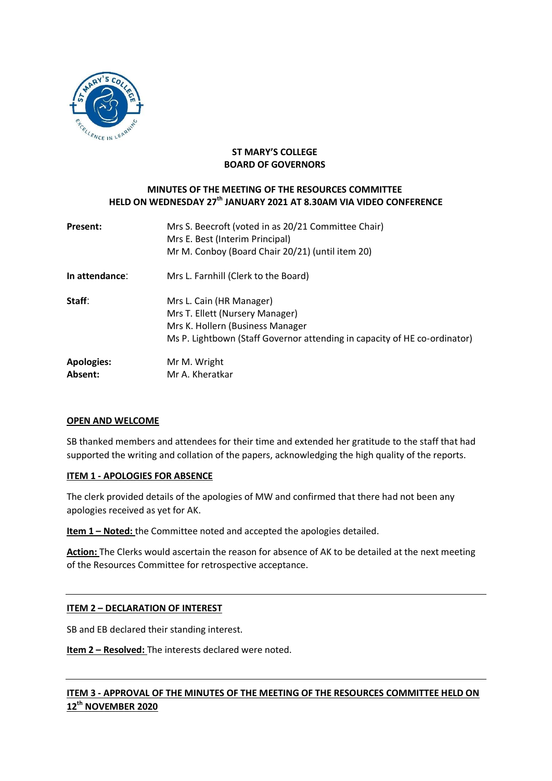

### **ST MARY'S COLLEGE BOARD OF GOVERNORS**

## **MINUTES OF THE MEETING OF THE RESOURCES COMMITTEE HELD ON WEDNESDAY 27 th JANUARY 2021 AT 8.30AM VIA VIDEO CONFERENCE**

| <b>Present:</b>              | Mrs S. Beecroft (voted in as 20/21 Committee Chair)<br>Mrs E. Best (Interim Principal)<br>Mr M. Conboy (Board Chair 20/21) (until item 20)                                   |
|------------------------------|------------------------------------------------------------------------------------------------------------------------------------------------------------------------------|
| In attendance:               | Mrs L. Farnhill (Clerk to the Board)                                                                                                                                         |
| Staff:                       | Mrs L. Cain (HR Manager)<br>Mrs T. Ellett (Nursery Manager)<br>Mrs K. Hollern (Business Manager<br>Ms P. Lightbown (Staff Governor attending in capacity of HE co-ordinator) |
| <b>Apologies:</b><br>Absent: | Mr M. Wright<br>Mr A. Kheratkar                                                                                                                                              |

### **OPEN AND WELCOME**

SB thanked members and attendees for their time and extended her gratitude to the staff that had supported the writing and collation of the papers, acknowledging the high quality of the reports.

### **ITEM 1 - APOLOGIES FOR ABSENCE**

The clerk provided details of the apologies of MW and confirmed that there had not been any apologies received as yet for AK.

**Item 1 – Noted:** the Committee noted and accepted the apologies detailed.

**Action:** The Clerks would ascertain the reason for absence of AK to be detailed at the next meeting of the Resources Committee for retrospective acceptance.

## **ITEM 2 – DECLARATION OF INTEREST**

SB and EB declared their standing interest.

**Item 2 – Resolved:** The interests declared were noted.

# **ITEM 3 - APPROVAL OF THE MINUTES OF THE MEETING OF THE RESOURCES COMMITTEE HELD ON 12 th NOVEMBER 2020**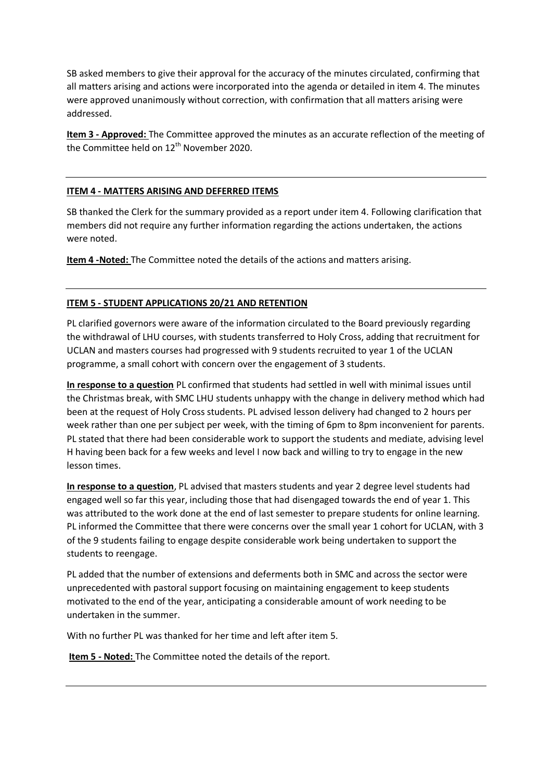SB asked members to give their approval for the accuracy of the minutes circulated, confirming that all matters arising and actions were incorporated into the agenda or detailed in item 4. The minutes were approved unanimously without correction, with confirmation that all matters arising were addressed.

**Item 3 - Approved:** The Committee approved the minutes as an accurate reflection of the meeting of the Committee held on 12<sup>th</sup> November 2020.

## **ITEM 4 - MATTERS ARISING AND DEFERRED ITEMS**

SB thanked the Clerk for the summary provided as a report under item 4. Following clarification that members did not require any further information regarding the actions undertaken, the actions were noted.

**Item 4 -Noted:** The Committee noted the details of the actions and matters arising.

### **ITEM 5 - STUDENT APPLICATIONS 20/21 AND RETENTION**

PL clarified governors were aware of the information circulated to the Board previously regarding the withdrawal of LHU courses, with students transferred to Holy Cross, adding that recruitment for UCLAN and masters courses had progressed with 9 students recruited to year 1 of the UCLAN programme, a small cohort with concern over the engagement of 3 students.

**In response to a question** PL confirmed that students had settled in well with minimal issues until the Christmas break, with SMC LHU students unhappy with the change in delivery method which had been at the request of Holy Cross students. PL advised lesson delivery had changed to 2 hours per week rather than one per subject per week, with the timing of 6pm to 8pm inconvenient for parents. PL stated that there had been considerable work to support the students and mediate, advising level H having been back for a few weeks and level I now back and willing to try to engage in the new lesson times.

**In response to a question**, PL advised that masters students and year 2 degree level students had engaged well so far this year, including those that had disengaged towards the end of year 1. This was attributed to the work done at the end of last semester to prepare students for online learning. PL informed the Committee that there were concerns over the small year 1 cohort for UCLAN, with 3 of the 9 students failing to engage despite considerable work being undertaken to support the students to reengage.

PL added that the number of extensions and deferments both in SMC and across the sector were unprecedented with pastoral support focusing on maintaining engagement to keep students motivated to the end of the year, anticipating a considerable amount of work needing to be undertaken in the summer.

With no further PL was thanked for her time and left after item 5.

**Item 5 - Noted:** The Committee noted the details of the report.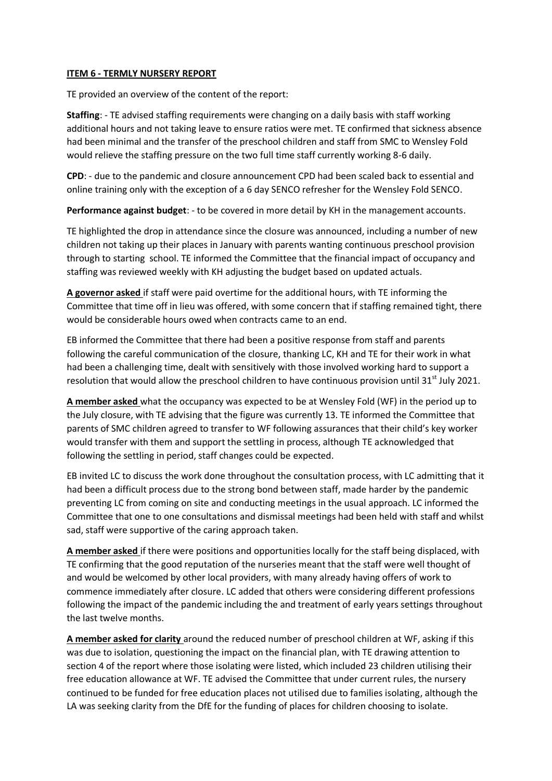### **ITEM 6 - TERMLY NURSERY REPORT**

TE provided an overview of the content of the report:

**Staffing**: - TE advised staffing requirements were changing on a daily basis with staff working additional hours and not taking leave to ensure ratios were met. TE confirmed that sickness absence had been minimal and the transfer of the preschool children and staff from SMC to Wensley Fold would relieve the staffing pressure on the two full time staff currently working 8-6 daily.

**CPD**: - due to the pandemic and closure announcement CPD had been scaled back to essential and online training only with the exception of a 6 day SENCO refresher for the Wensley Fold SENCO.

**Performance against budget**: - to be covered in more detail by KH in the management accounts.

TE highlighted the drop in attendance since the closure was announced, including a number of new children not taking up their places in January with parents wanting continuous preschool provision through to starting school. TE informed the Committee that the financial impact of occupancy and staffing was reviewed weekly with KH adjusting the budget based on updated actuals.

**A governor asked** if staff were paid overtime for the additional hours, with TE informing the Committee that time off in lieu was offered, with some concern that if staffing remained tight, there would be considerable hours owed when contracts came to an end.

EB informed the Committee that there had been a positive response from staff and parents following the careful communication of the closure, thanking LC, KH and TE for their work in what had been a challenging time, dealt with sensitively with those involved working hard to support a resolution that would allow the preschool children to have continuous provision until  $31<sup>st</sup>$  July 2021.

**A member asked** what the occupancy was expected to be at Wensley Fold (WF) in the period up to the July closure, with TE advising that the figure was currently 13. TE informed the Committee that parents of SMC children agreed to transfer to WF following assurances that their child's key worker would transfer with them and support the settling in process, although TE acknowledged that following the settling in period, staff changes could be expected.

EB invited LC to discuss the work done throughout the consultation process, with LC admitting that it had been a difficult process due to the strong bond between staff, made harder by the pandemic preventing LC from coming on site and conducting meetings in the usual approach. LC informed the Committee that one to one consultations and dismissal meetings had been held with staff and whilst sad, staff were supportive of the caring approach taken.

**A member asked** if there were positions and opportunities locally for the staff being displaced, with TE confirming that the good reputation of the nurseries meant that the staff were well thought of and would be welcomed by other local providers, with many already having offers of work to commence immediately after closure. LC added that others were considering different professions following the impact of the pandemic including the and treatment of early years settings throughout the last twelve months.

**A member asked for clarity** around the reduced number of preschool children at WF, asking if this was due to isolation, questioning the impact on the financial plan, with TE drawing attention to section 4 of the report where those isolating were listed, which included 23 children utilising their free education allowance at WF. TE advised the Committee that under current rules, the nursery continued to be funded for free education places not utilised due to families isolating, although the LA was seeking clarity from the DfE for the funding of places for children choosing to isolate.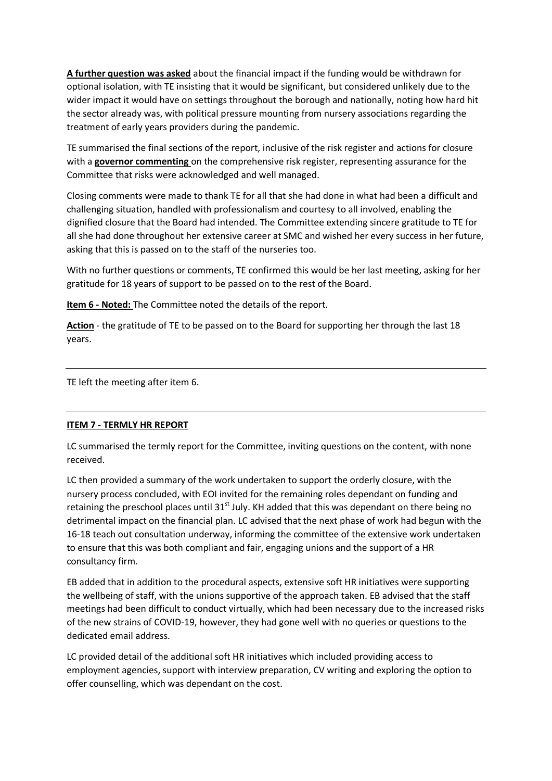**A further question was asked** about the financial impact if the funding would be withdrawn for optional isolation, with TE insisting that it would be significant, but considered unlikely due to the wider impact it would have on settings throughout the borough and nationally, noting how hard hit the sector already was, with political pressure mounting from nursery associations regarding the treatment of early years providers during the pandemic.

TE summarised the final sections of the report, inclusive of the risk register and actions for closure with a **governor commenting** on the comprehensive risk register, representing assurance for the Committee that risks were acknowledged and well managed.

Closing comments were made to thank TE for all that she had done in what had been a difficult and challenging situation, handled with professionalism and courtesy to all involved, enabling the dignified closure that the Board had intended. The Committee extending sincere gratitude to TE for all she had done throughout her extensive career at SMC and wished her every success in her future, asking that this is passed on to the staff of the nurseries too.

With no further questions or comments, TE confirmed this would be her last meeting, asking for her gratitude for 18 years of support to be passed on to the rest of the Board.

**Item 6 - Noted:** The Committee noted the details of the report.

**Action** - the gratitude of TE to be passed on to the Board for supporting her through the last 18 years.

TE left the meeting after item 6.

### **ITEM 7 - TERMLY HR REPORT**

LC summarised the termly report for the Committee, inviting questions on the content, with none received.

LC then provided a summary of the work undertaken to support the orderly closure, with the nursery process concluded, with EOI invited for the remaining roles dependant on funding and retaining the preschool places until 31<sup>st</sup> July. KH added that this was dependant on there being no detrimental impact on the financial plan. LC advised that the next phase of work had begun with the 16-18 teach out consultation underway, informing the committee of the extensive work undertaken to ensure that this was both compliant and fair, engaging unions and the support of a HR consultancy firm.

EB added that in addition to the procedural aspects, extensive soft HR initiatives were supporting the wellbeing of staff, with the unions supportive of the approach taken. EB advised that the staff meetings had been difficult to conduct virtually, which had been necessary due to the increased risks of the new strains of COVID-19, however, they had gone well with no queries or questions to the dedicated email address.

LC provided detail of the additional soft HR initiatives which included providing access to employment agencies, support with interview preparation, CV writing and exploring the option to offer counselling, which was dependant on the cost.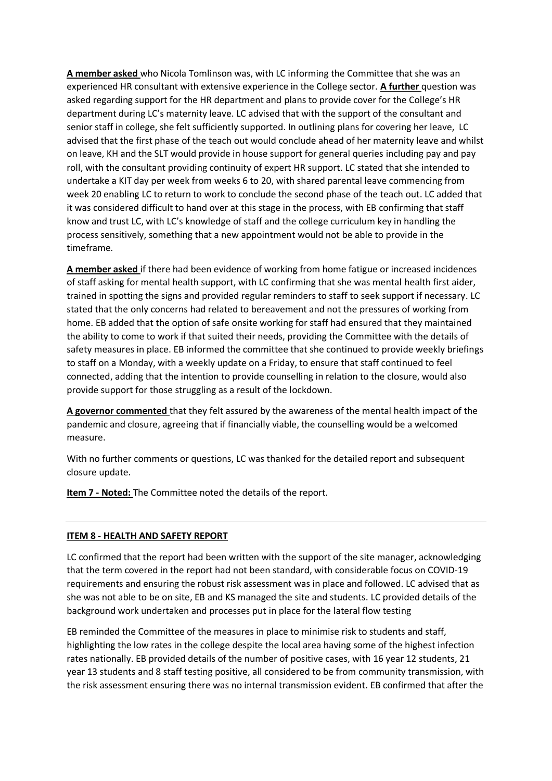**A member asked** who Nicola Tomlinson was, with LC informing the Committee that she was an experienced HR consultant with extensive experience in the College sector. **A further** question was asked regarding support for the HR department and plans to provide cover for the College's HR department during LC's maternity leave. LC advised that with the support of the consultant and senior staff in college, she felt sufficiently supported. In outlining plans for covering her leave, LC advised that the first phase of the teach out would conclude ahead of her maternity leave and whilst on leave, KH and the SLT would provide in house support for general queries including pay and pay roll, with the consultant providing continuity of expert HR support. LC stated that she intended to undertake a KIT day per week from weeks 6 to 20, with shared parental leave commencing from week 20 enabling LC to return to work to conclude the second phase of the teach out. LC added that it was considered difficult to hand over at this stage in the process, with EB confirming that staff know and trust LC, with LC's knowledge of staff and the college curriculum key in handling the process sensitively, something that a new appointment would not be able to provide in the timeframe.

**A member asked** if there had been evidence of working from home fatigue or increased incidences of staff asking for mental health support, with LC confirming that she was mental health first aider, trained in spotting the signs and provided regular reminders to staff to seek support if necessary. LC stated that the only concerns had related to bereavement and not the pressures of working from home. EB added that the option of safe onsite working for staff had ensured that they maintained the ability to come to work if that suited their needs, providing the Committee with the details of safety measures in place. EB informed the committee that she continued to provide weekly briefings to staff on a Monday, with a weekly update on a Friday, to ensure that staff continued to feel connected, adding that the intention to provide counselling in relation to the closure, would also provide support for those struggling as a result of the lockdown.

**A governor commented** that they felt assured by the awareness of the mental health impact of the pandemic and closure, agreeing that if financially viable, the counselling would be a welcomed measure.

With no further comments or questions, LC was thanked for the detailed report and subsequent closure update.

**Item 7 - Noted:** The Committee noted the details of the report.

## **ITEM 8 - HEALTH AND SAFETY REPORT**

LC confirmed that the report had been written with the support of the site manager, acknowledging that the term covered in the report had not been standard, with considerable focus on COVID-19 requirements and ensuring the robust risk assessment was in place and followed. LC advised that as she was not able to be on site, EB and KS managed the site and students. LC provided details of the background work undertaken and processes put in place for the lateral flow testing

EB reminded the Committee of the measures in place to minimise risk to students and staff, highlighting the low rates in the college despite the local area having some of the highest infection rates nationally. EB provided details of the number of positive cases, with 16 year 12 students, 21 year 13 students and 8 staff testing positive, all considered to be from community transmission, with the risk assessment ensuring there was no internal transmission evident. EB confirmed that after the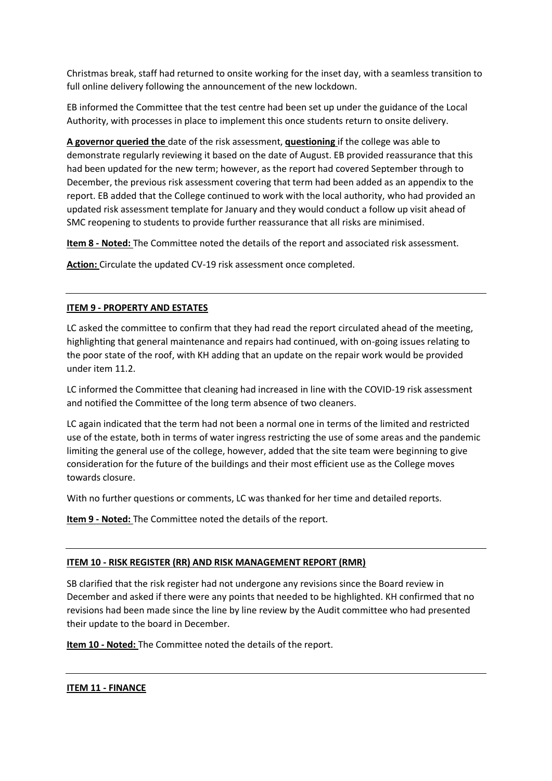Christmas break, staff had returned to onsite working for the inset day, with a seamless transition to full online delivery following the announcement of the new lockdown.

EB informed the Committee that the test centre had been set up under the guidance of the Local Authority, with processes in place to implement this once students return to onsite delivery.

**A governor queried the** date of the risk assessment, **questioning** if the college was able to demonstrate regularly reviewing it based on the date of August. EB provided reassurance that this had been updated for the new term; however, as the report had covered September through to December, the previous risk assessment covering that term had been added as an appendix to the report. EB added that the College continued to work with the local authority, who had provided an updated risk assessment template for January and they would conduct a follow up visit ahead of SMC reopening to students to provide further reassurance that all risks are minimised.

**Item 8 - Noted:** The Committee noted the details of the report and associated risk assessment.

**Action:** Circulate the updated CV-19 risk assessment once completed.

## **ITEM 9 - PROPERTY AND ESTATES**

LC asked the committee to confirm that they had read the report circulated ahead of the meeting, highlighting that general maintenance and repairs had continued, with on-going issues relating to the poor state of the roof, with KH adding that an update on the repair work would be provided under item 11.2.

LC informed the Committee that cleaning had increased in line with the COVID-19 risk assessment and notified the Committee of the long term absence of two cleaners.

LC again indicated that the term had not been a normal one in terms of the limited and restricted use of the estate, both in terms of water ingress restricting the use of some areas and the pandemic limiting the general use of the college, however, added that the site team were beginning to give consideration for the future of the buildings and their most efficient use as the College moves towards closure.

With no further questions or comments, LC was thanked for her time and detailed reports.

**Item 9 - Noted:** The Committee noted the details of the report.

### **ITEM 10 - RISK REGISTER (RR) AND RISK MANAGEMENT REPORT (RMR)**

SB clarified that the risk register had not undergone any revisions since the Board review in December and asked if there were any points that needed to be highlighted. KH confirmed that no revisions had been made since the line by line review by the Audit committee who had presented their update to the board in December.

**Item 10 - Noted:** The Committee noted the details of the report.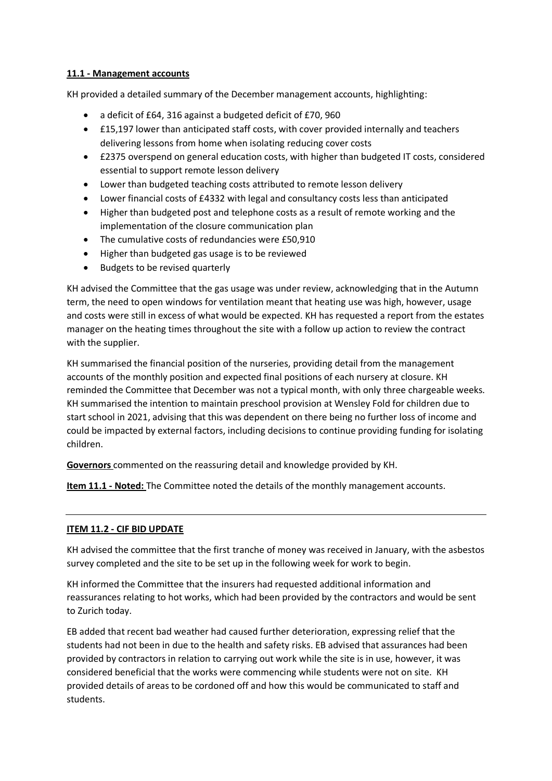### **11.1 - Management accounts**

KH provided a detailed summary of the December management accounts, highlighting:

- a deficit of £64, 316 against a budgeted deficit of £70, 960
- £15,197 lower than anticipated staff costs, with cover provided internally and teachers delivering lessons from home when isolating reducing cover costs
- £2375 overspend on general education costs, with higher than budgeted IT costs, considered essential to support remote lesson delivery
- Lower than budgeted teaching costs attributed to remote lesson delivery
- Lower financial costs of £4332 with legal and consultancy costs less than anticipated
- Higher than budgeted post and telephone costs as a result of remote working and the implementation of the closure communication plan
- The cumulative costs of redundancies were £50,910
- Higher than budgeted gas usage is to be reviewed
- Budgets to be revised quarterly

KH advised the Committee that the gas usage was under review, acknowledging that in the Autumn term, the need to open windows for ventilation meant that heating use was high, however, usage and costs were still in excess of what would be expected. KH has requested a report from the estates manager on the heating times throughout the site with a follow up action to review the contract with the supplier.

KH summarised the financial position of the nurseries, providing detail from the management accounts of the monthly position and expected final positions of each nursery at closure. KH reminded the Committee that December was not a typical month, with only three chargeable weeks. KH summarised the intention to maintain preschool provision at Wensley Fold for children due to start school in 2021, advising that this was dependent on there being no further loss of income and could be impacted by external factors, including decisions to continue providing funding for isolating children.

**Governors** commented on the reassuring detail and knowledge provided by KH.

**Item 11.1 - Noted:** The Committee noted the details of the monthly management accounts.

### **ITEM 11.2 - CIF BID UPDATE**

KH advised the committee that the first tranche of money was received in January, with the asbestos survey completed and the site to be set up in the following week for work to begin.

KH informed the Committee that the insurers had requested additional information and reassurances relating to hot works, which had been provided by the contractors and would be sent to Zurich today.

EB added that recent bad weather had caused further deterioration, expressing relief that the students had not been in due to the health and safety risks. EB advised that assurances had been provided by contractors in relation to carrying out work while the site is in use, however, it was considered beneficial that the works were commencing while students were not on site. KH provided details of areas to be cordoned off and how this would be communicated to staff and students.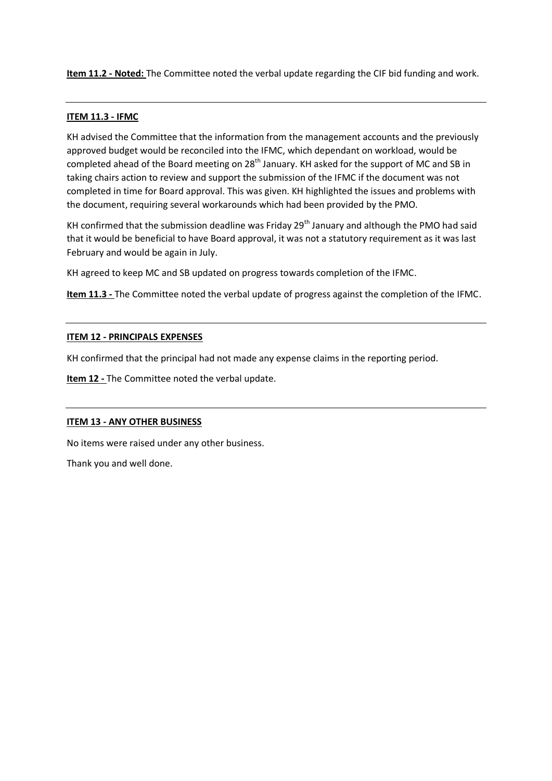**Item 11.2 - Noted:** The Committee noted the verbal update regarding the CIF bid funding and work.

### **ITEM 11.3 - IFMC**

KH advised the Committee that the information from the management accounts and the previously approved budget would be reconciled into the IFMC, which dependant on workload, would be completed ahead of the Board meeting on 28<sup>th</sup> January. KH asked for the support of MC and SB in taking chairs action to review and support the submission of the IFMC if the document was not completed in time for Board approval. This was given. KH highlighted the issues and problems with the document, requiring several workarounds which had been provided by the PMO.

KH confirmed that the submission deadline was Friday  $29<sup>th</sup>$  January and although the PMO had said that it would be beneficial to have Board approval, it was not a statutory requirement as it was last February and would be again in July.

KH agreed to keep MC and SB updated on progress towards completion of the IFMC.

**Item 11.3 -** The Committee noted the verbal update of progress against the completion of the IFMC.

#### **ITEM 12 - PRINCIPALS EXPENSES**

KH confirmed that the principal had not made any expense claims in the reporting period.

**Item 12 -** The Committee noted the verbal update.

### **ITEM 13 - ANY OTHER BUSINESS**

No items were raised under any other business.

Thank you and well done.